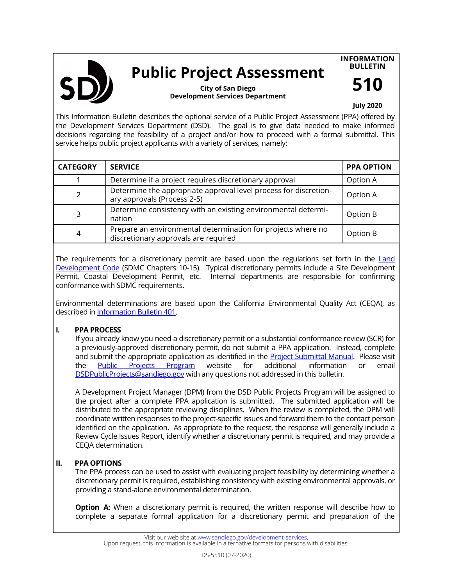

# **Public Project Assessment**

**INFORMATION BULLETIN**

**510**

**Development Services Department City of San Diego**

#### **July 2020**

This Information Bulletin describes the optional service of a Public Project Assessment (PPA) offered by the Development Services Department (DSD). The goal is to give data needed to make informed decisions regarding the feasibility of a project and/or how to proceed with a formal submittal. This service helps public project applicants with a variety of services, namely:

| <b>CATEGORY</b> | <b>SERVICE</b>                                                                                       | <b>PPA OPTION</b> |
|-----------------|------------------------------------------------------------------------------------------------------|-------------------|
|                 | Determine if a project requires discretionary approval                                               | Option A          |
| $\mathcal{P}$   | Determine the appropriate approval level process for discretion-<br>ary approvals (Process 2-5)      | Option A          |
| 3               | Determine consistency with an existing environmental determi-<br>nation                              | Option B          |
| 4               | Prepare an environmental determination for projects where no<br>discretionary approvals are required | Option B          |

The requirements for a discretionary permit are based upon the regulations set forth in the Land [Development Code](https://www.sandiego.gov/city-clerk/officialdocs/municipal-code) (SDMC Chapters 10-15). Typical discretionary permits include a Site Development Permit, Coastal Development Permit, etc. Internal departments are responsible for confirming conformance with SDMC requirements.

Environmental determinations are based upon the California Environmental Quality Act (CEQA), as described in [Information Bulletin 401.](https://www.sandiego.gov/sites/default/files/dsdib401.pdf) 

## **I. PPA PROCESS**

If you already know you need a discretionary permit or a substantial conformance review (SCR) for a previously-approved discretionary permit, do not submit a PPA application. Instead, complete and submit the appropriate application as identified in the [Project Submittal Manual.](https://www.sandiego.gov/development-services/codes-regulations/project-submittal-manual) Please visit the [Public Projects Program](https://www.sandiego.gov/development-services/news-programs/programs/public-projects) website for additional information or email [DSDPublicProjects@sandiego.gov](mailto:DSDPublicProjects@SanDiego.gov) with any questions not addressed in this bulletin.

A Development Project Manager (DPM) from the DSD Public Projects Program will be assigned to the project after a complete PPA application is submitted. The submitted application will be distributed to the appropriate reviewing disciplines. When the review is completed, the DPM will coordinate written responses to the project-specific issues and forward them to the contact person identified on the application. As appropriate to the request, the response will generally include a Review Cycle Issues Report, identify whether a discretionary permit is required, and may provide a CEQA determination.

## **II. PPA OPTIONS**

The PPA process can be used to assist with evaluating project feasibility by determining whether a discretionary permit is required, establishing consistency with existing environmental approvals, or providing a stand-alone environmental determination.

**Option A:** When a discretionary permit is required, the written response will describe how to complete a separate formal application for a discretionary permit and preparation of the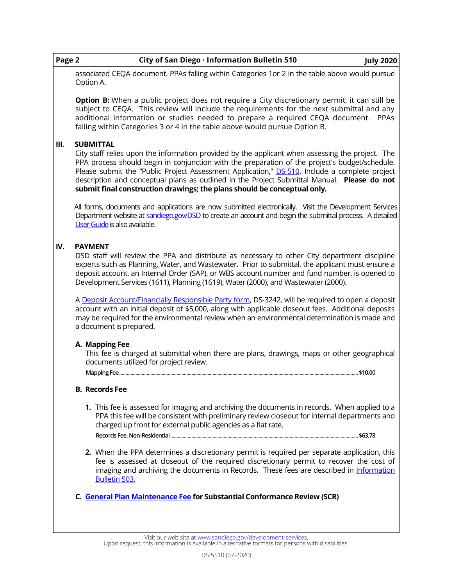| Page 2 | <b>July 2020</b><br>City of San Diego $\cdot$ Information Bulletin 510                         |
|--------|------------------------------------------------------------------------------------------------|
|        | associated CEQA document. PPAs falling within Categories 1or 2 in the table above would pursue |
|        | Option A.                                                                                      |

**Option B:** When a public project does not require a City discretionary permit, it can still be subject to CEQA. This review will include the requirements for the next submittal and any additional information or studies needed to prepare a required CEQA document. PPAs falling within Categories 3 or 4 in the table above would pursue Option B.

## **III. SUBMITTAL**

City staff relies upon the information provided by the applicant when assessing the project. The PPA process should begin in conjunction with the preparation of the project's budget/schedule. Please submit the "Public Project Assessment Application," DS-[510.](https://www.sandiego.gov/sites/default/files/dsdds510.pdf) Include a complete project description and conceptual plans as outlined in the Project Submittal Manual. **Please do not submit final construction drawings; the plans should be conceptual only.**

All forms, documents and applications are now submitted electronically. Visit the Development Services Department website at [sandiego.gov/DSD](https://www.sandiego.gov/development-services/) to create an account and begin the submittal process. A detailed [User Guide](https://www.sandiego.gov/sites/default/files/opendsd-user-guide-pts-projects.pdf) is also available.

## **IV. PAYMENT**

DSD staff will review the PPA and distribute as necessary to other City department discipline experts such as Planning, Water, and Wastewater. Prior to submittal, the applicant must ensure a deposit account, an Internal Order (SAP), or WBS account number and fund number, is opened to Development Services (1611), Planning (1619), Water (2000), and Wastewater (2000).

A [Deposit Account/Financially Responsible Party form,](https://www.sandiego.gov/sites/default/files/legacy/development-services/pdf/industry/forms/ds3242.pdf) DS-3242, will be required to open a deposit account with an initial deposit of \$5,000, along with applicable closeout fees. Additional deposits may be required for the environmental review when an environmental determination is made and a document is prepared.

## **A. Mapping Fee**

This fee is charged at submittal when there are plans, drawings, maps or other geographical documents utilized for project review.

**Mapping Fee**................................................................................................................................................................................................**\$10.00**

## **B. Records Fee**

- **1.** This fee is assessed for imaging and archiving the documents in records. When applied to a PPA this fee will be consistent with preliminary review closeout for internal departments and charged up front for external public agencies as a flat rate. **Records Fee, Non-Residential**.......................................................................................................................................................**\$63.78**
- **2.** When the PPA determines a discretionary permit is required per separate application, this fee is assessed at closeout of the required discretionary permit to recover the cost of imaging and archiving the documents in Records. These fees are described in [Information](https://www.sandiego.gov/sites/default/files/dsdib503.pdf)  [Bulletin 503.](https://www.sandiego.gov/sites/default/files/dsdib503.pdf)
- **C. [General Plan Maintenance Fee](https://www.sandiego.gov/sites/default/files/feeschedule.pdf) for Substantial Conformance Review (SCR)**